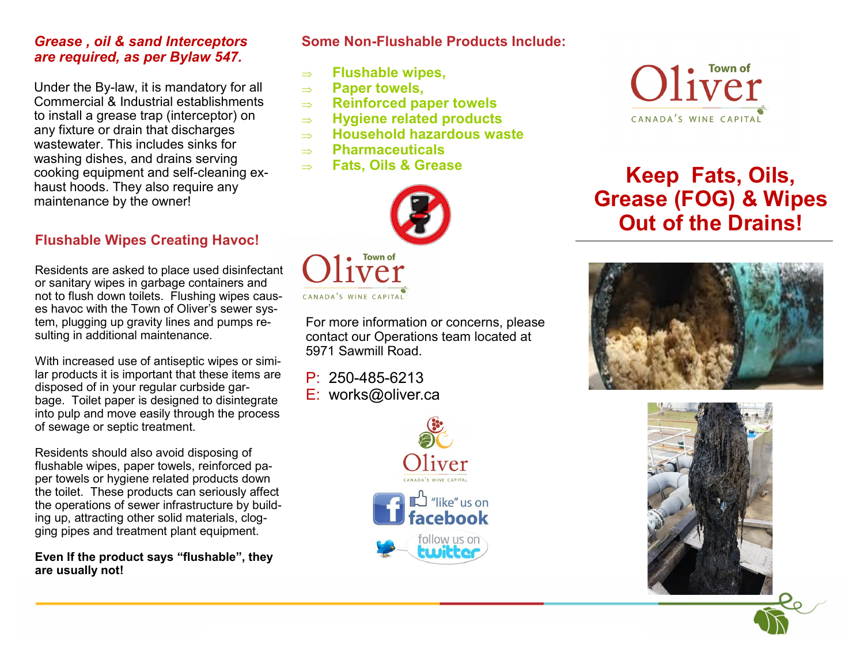#### *Grease , oil & sand Interceptors are required, as per Bylaw 547.*

Under the By-law, it is mandatory for all Commercial & Industrial establishments to install a grease trap (interceptor) on any fixture or drain that discharges wastewater. This includes sinks for washing dishes, and drains serving cooking equipment and self-cleaning exhaust hoods. They also require any maintenance by the owner!

#### **Flushable Wipes Creating Havoc!**

Residents are asked to place used disinfectant or sanitary wipes in garbage containers and not to flush down toilets. Flushing wipes causes havoc with the Town of Oliver's sewer system, plugging up gravity lines and pumps resulting in additional maintenance.

With increased use of antiseptic wipes or similar products it is important that these items are disposed of in your regular curbside garbage. Toilet paper is designed to disintegrate into pulp and move easily through the process of sewage or septic treatment.

Residents should also avoid disposing of flushable wipes, paper towels, reinforced paper towels or hygiene related products down the toilet. These products can seriously affect the operations of sewer infrastructure by building up, attracting other solid materials, clogging pipes and treatment plant equipment.

**Even If the product says "flushable", they are usually not!**

**Some Non-Flushable Products Include:**

- **Flushable wipes,**
- **Paper towels,**
- **Reinforced paper towels**
- **Hygiene related products**
- **Household hazardous waste**
- **Pharmaceuticals**
- **Fats, Oils & Grease**



For more information or concerns, please contact our Operations team located at 5971 Sawmill Road.

P: 250-485-6213 E: works@oliver.ca





## **Keep Fats, Oils, Grease (FOG) & Wipes Out of the Drains!**